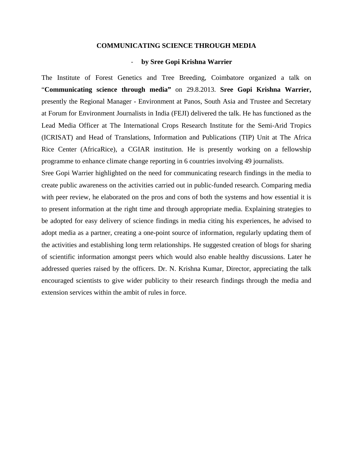## **COMMUNICATING SCIENCE THROUGH MEDIA**

## ‐ **by Sree Gopi Krishna Warrier**

The Institute of Forest Genetics and Tree Breeding, Coimbatore organized a talk on "**Communicating science through media"** on 29.8.2013. **Sree Gopi Krishna Warrier,**  presently the Regional Manager - Environment at Panos, South Asia and Trustee and Secretary at Forum for Environment Journalists in India (FEJI) delivered the talk. He has functioned as the Lead Media Officer at The International Crops Research Institute for the Semi-Arid Tropics (ICRISAT) and Head of Translations, Information and Publications (TIP) Unit at The Africa Rice Center (AfricaRice), a CGIAR institution. He is presently working on a fellowship programme to enhance climate change reporting in 6 countries involving 49 journalists.

Sree Gopi Warrier highlighted on the need for communicating research findings in the media to create public awareness on the activities carried out in public-funded research. Comparing media with peer review, he elaborated on the pros and cons of both the systems and how essential it is to present information at the right time and through appropriate media. Explaining strategies to be adopted for easy delivery of science findings in media citing his experiences, he advised to adopt media as a partner, creating a one-point source of information, regularly updating them of the activities and establishing long term relationships. He suggested creation of blogs for sharing of scientific information amongst peers which would also enable healthy discussions. Later he addressed queries raised by the officers. Dr. N. Krishna Kumar, Director, appreciating the talk encouraged scientists to give wider publicity to their research findings through the media and extension services within the ambit of rules in force.